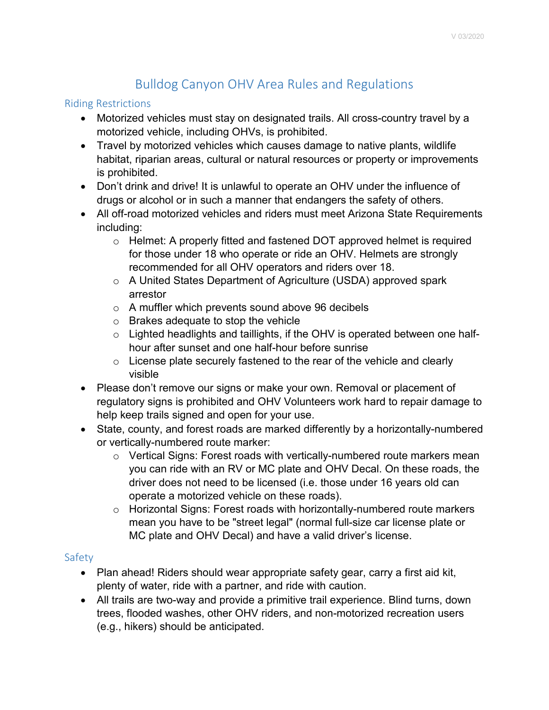# Bulldog Canyon OHV Area Rules and Regulations

# Riding Restrictions

- Motorized vehicles must stay on designated trails. All cross-country travel by a motorized vehicle, including OHVs, is prohibited.
- Travel by motorized vehicles which causes damage to native plants, wildlife habitat, riparian areas, cultural or natural resources or property or improvements is prohibited.
- Don't drink and drive! It is unlawful to operate an OHV under the influence of drugs or alcohol or in such a manner that endangers the safety of others.
- All off-road motorized vehicles and riders must meet Arizona State Requirements including:
	- o Helmet: A properly fitted and fastened DOT approved helmet is required for those under 18 who operate or ride an OHV. Helmets are strongly recommended for all OHV operators and riders over 18.
	- o A United States Department of Agriculture (USDA) approved spark arrestor
	- o A muffler which prevents sound above 96 decibels
	- o Brakes adequate to stop the vehicle
	- o Lighted headlights and taillights, if the OHV is operated between one halfhour after sunset and one half-hour before sunrise
	- $\circ$  License plate securely fastened to the rear of the vehicle and clearly visible
- Please don't remove our signs or make your own. Removal or placement of regulatory signs is prohibited and OHV Volunteers work hard to repair damage to help keep trails signed and open for your use.
- State, county, and forest roads are marked differently by a horizontally-numbered or vertically-numbered route marker:
	- o Vertical Signs: Forest roads with vertically-numbered route markers mean you can ride with an RV or MC plate and OHV Decal. On these roads, the driver does not need to be licensed (i.e. those under 16 years old can operate a motorized vehicle on these roads).
	- o Horizontal Signs: Forest roads with horizontally-numbered route markers mean you have to be "street legal" (normal full-size car license plate or MC plate and OHV Decal) and have a valid driver's license.

# Safety

- Plan ahead! Riders should wear appropriate safety gear, carry a first aid kit, plenty of water, ride with a partner, and ride with caution.
- All trails are two-way and provide a primitive trail experience. Blind turns, down trees, flooded washes, other OHV riders, and non-motorized recreation users (e.g., hikers) should be anticipated.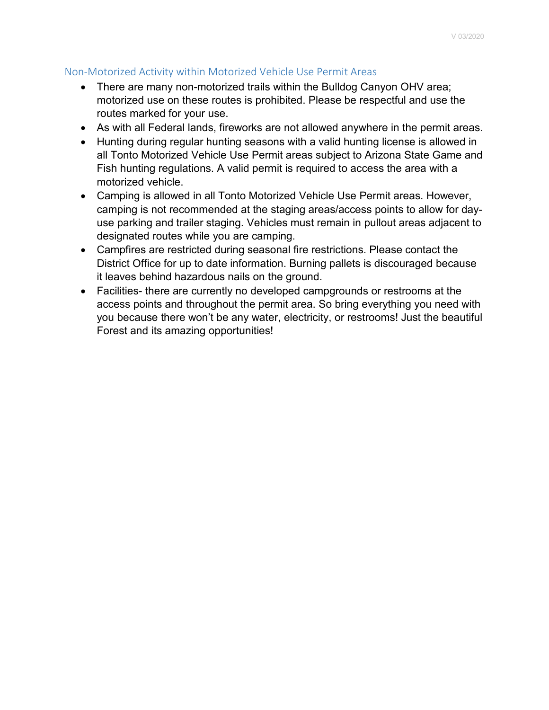# Non-Motorized Activity within Motorized Vehicle Use Permit Areas

- There are many non-motorized trails within the Bulldog Canyon OHV area; motorized use on these routes is prohibited. Please be respectful and use the routes marked for your use.
- As with all Federal lands, fireworks are not allowed anywhere in the permit areas.
- Hunting during regular hunting seasons with a valid hunting license is allowed in all Tonto Motorized Vehicle Use Permit areas subject to Arizona State Game and Fish hunting regulations. A valid permit is required to access the area with a motorized vehicle.
- Camping is allowed in all Tonto Motorized Vehicle Use Permit areas. However, camping is not recommended at the staging areas/access points to allow for dayuse parking and trailer staging. Vehicles must remain in pullout areas adjacent to designated routes while you are camping.
- Campfires are restricted during seasonal fire restrictions. Please contact the District Office for up to date information. Burning pallets is discouraged because it leaves behind hazardous nails on the ground.
- Facilities- there are currently no developed campgrounds or restrooms at the access points and throughout the permit area. So bring everything you need with you because there won't be any water, electricity, or restrooms! Just the beautiful Forest and its amazing opportunities!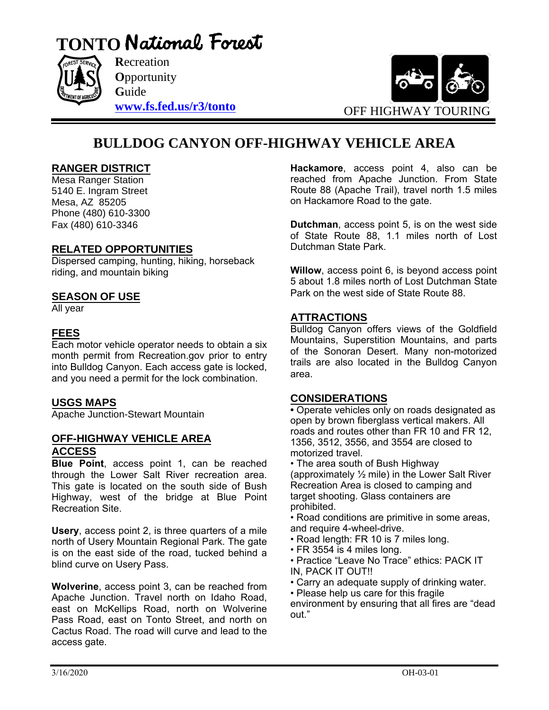



**O**pportunity **G**uide **[www.fs.fed.us/r3/tonto](http://www.fs.fed.us/r3/tonto)**



# **BULLDOG CANYON OFF-HIGHWAY VEHICLE AREA**

# **RANGER DISTRICT**

Mesa Ranger Station 5140 E. Ingram Street Mesa, AZ 85205 Phone (480) 610-3300 Fax (480) 610-3346

# **RELATED OPPORTUNITIES**

Dispersed camping, hunting, hiking, horseback riding, and mountain biking

# **SEASON OF USE**

All year

# **FEES**

Each motor vehicle operator needs to obtain a six month permit from Recreation.gov prior to entry into Bulldog Canyon. Each access gate is locked, and you need a permit for the lock combination.

# **USGS MAPS**

Apache Junction-Stewart Mountain

#### **OFF-HIGHWAY VEHICLE AREA ACCESS**

**Blue Point**, access point 1, can be reached through the Lower Salt River recreation area. This gate is located on the south side of Bush Highway, west of the bridge at Blue Point Recreation Site.

**Usery**, access point 2, is three quarters of a mile north of Usery Mountain Regional Park. The gate is on the east side of the road, tucked behind a blind curve on Usery Pass.

**Wolverine**, access point 3, can be reached from Apache Junction. Travel north on Idaho Road, east on McKellips Road, north on Wolverine Pass Road, east on Tonto Street, and north on Cactus Road. The road will curve and lead to the access gate.

**Hackamore**, access point 4, also can be reached from Apache Junction. From State Route 88 (Apache Trail), travel north 1.5 miles on Hackamore Road to the gate.

**Dutchman**, access point 5, is on the west side of State Route 88, 1.1 miles north of Lost Dutchman State Park.

**Willow**, access point 6, is beyond access point 5 about 1.8 miles north of Lost Dutchman State Park on the west side of State Route 88.

# **ATTRACTIONS**

Bulldog Canyon offers views of the Goldfield Mountains, Superstition Mountains, and parts of the Sonoran Desert. Many non-motorized trails are also located in the Bulldog Canyon area.

#### **CONSIDERATIONS**

**•** Operate vehicles only on roads designated as open by brown fiberglass vertical makers. All roads and routes other than FR 10 and FR 12, 1356, 3512, 3556, and 3554 are closed to motorized travel.

• The area south of Bush Highway (approximately ½ mile) in the Lower Salt River Recreation Area is closed to camping and target shooting. Glass containers are prohibited.

• Road conditions are primitive in some areas, and require 4-wheel-drive.

- Road length: FR 10 is 7 miles long.
- FR 3554 is 4 miles long.
- Practice "Leave No Trace" ethics: PACK IT IN, PACK IT OUT!!
- Carry an adequate supply of drinking water.
- Please help us care for this fragile
- environment by ensuring that all fires are "dead out."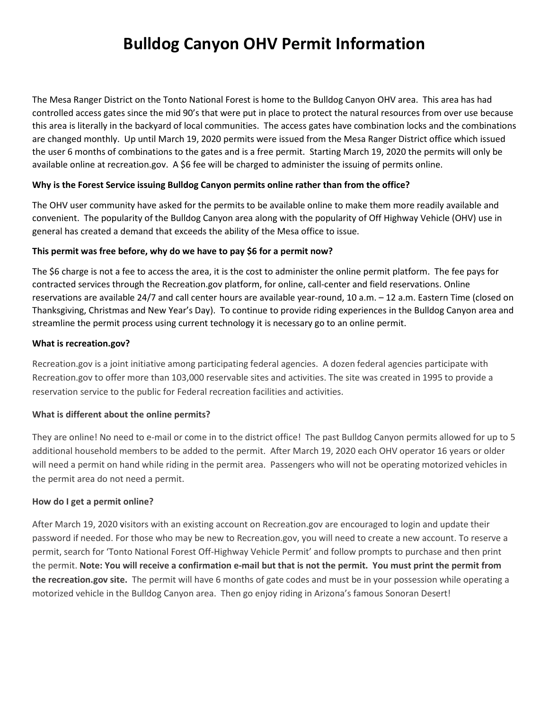# **Bulldog Canyon OHV Permit Information**

The Mesa Ranger District on the Tonto National Forest is home to the Bulldog Canyon OHV area. This area has had controlled access gates since the mid 90's that were put in place to protect the natural resources from over use because this area is literally in the backyard of local communities. The access gates have combination locks and the combinations are changed monthly. Up until March 19, 2020 permits were issued from the Mesa Ranger District office which issued the user 6 months of combinations to the gates and is a free permit. Starting March 19, 2020 the permits will only be available online at recreation.gov. A \$6 fee will be charged to administer the issuing of permits online.

#### **Why is the Forest Service issuing Bulldog Canyon permits online rather than from the office?**

The OHV user community have asked for the permits to be available online to make them more readily available and convenient. The popularity of the Bulldog Canyon area along with the popularity of Off Highway Vehicle (OHV) use in general has created a demand that exceeds the ability of the Mesa office to issue.

#### **This permit was free before, why do we have to pay \$6 for a permit now?**

The \$6 charge is not a fee to access the area, it is the cost to administer the online permit platform. The fee pays for contracted services through the Recreation.gov platform, for online, call-center and field reservations. Online reservations are available 24/7 and call center hours are available year-round, 10 a.m. – 12 a.m. Eastern Time (closed on Thanksgiving, Christmas and New Year's Day).To continue to provide riding experiences in the Bulldog Canyon area and streamline the permit process using current technology it is necessary go to an online permit.

#### **What is recreation.gov?**

Recreation.gov is a joint initiative among participating federal agencies. A dozen federal agencies participate with Recreation.gov to offer more than 103,000 reservable sites and activities. The site was created in 1995 to provide a reservation service to the public for Federal recreation facilities and activities.

#### **What is different about the online permits?**

They are online! No need to e-mail or come in to the district office! The past Bulldog Canyon permits allowed for up to 5 additional household members to be added to the permit. After March 19, 2020 each OHV operator 16 years or older will need a permit on hand while riding in the permit area. Passengers who will not be operating motorized vehicles in the permit area do not need a permit.

#### **How do I get a permit online?**

After March 19, 2020 visitors with an existing account on Recreation.gov are encouraged to login and update their password if needed. For those who may be new to Recreation.gov, you will need to create a new account. To reserve a permit, search for 'Tonto National Forest Off-Highway Vehicle Permit' and follow prompts to purchase and then print the permit. **Note: You will receive a confirmation e-mail but that is not the permit. You must print the permit from the recreation.gov site.** The permit will have 6 months of gate codes and must be in your possession while operating a motorized vehicle in the Bulldog Canyon area. Then go enjoy riding in Arizona's famous Sonoran Desert!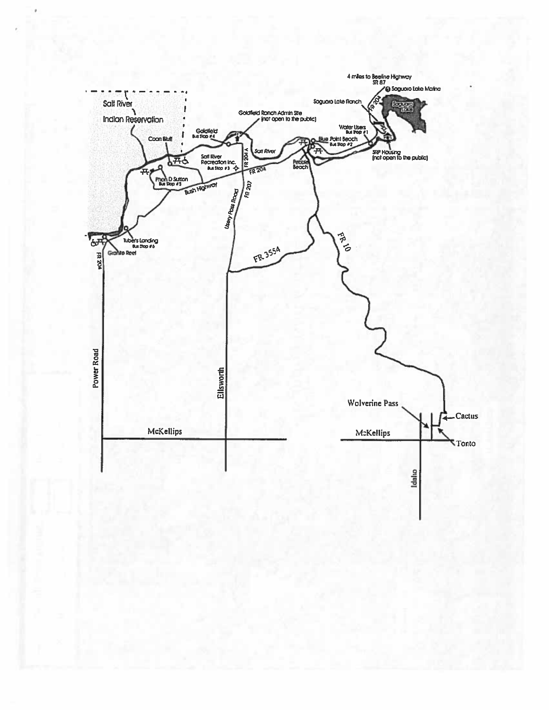